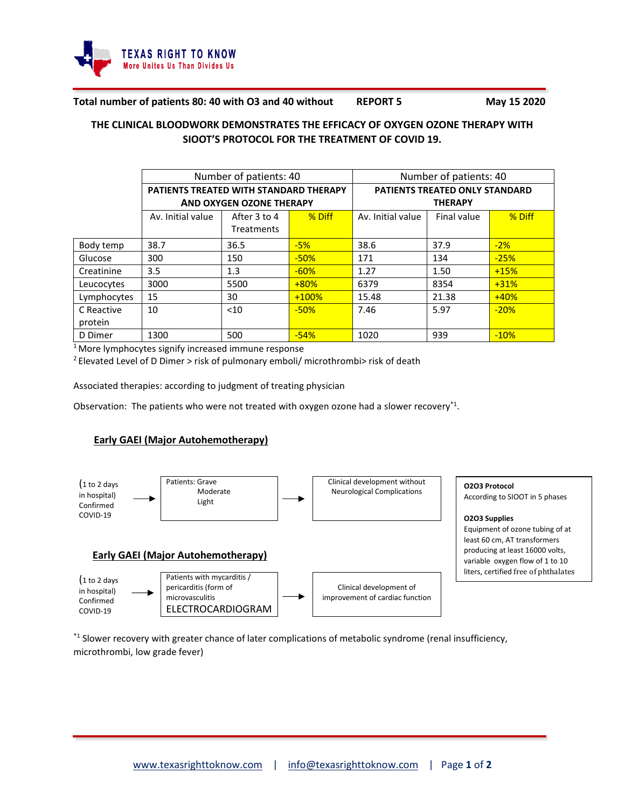

#### **Total number of patients 80: 40 with O3 and 40 without REPORT 5 May 15 2020**

# **THE CLINICAL BLOODWORK DEMONSTRATES THE EFFICACY OF OXYGEN OZONE THERAPY WITH SIOOT'S PROTOCOL FOR THE TREATMENT OF COVID 19.**

|             | Number of patients: 40                 |                          |          | Number of patients: 40                |             |        |  |
|-------------|----------------------------------------|--------------------------|----------|---------------------------------------|-------------|--------|--|
|             | PATIENTS TREATED WITH STANDARD THERAPY |                          |          | <b>PATIENTS TREATED ONLY STANDARD</b> |             |        |  |
|             |                                        | AND OXYGEN OZONE THERAPY |          | <b>THERAPY</b>                        |             |        |  |
|             | Av. Initial value                      | After 3 to 4             | $%$ Diff | Av. Initial value                     | Final value | % Diff |  |
|             |                                        | <b>Treatments</b>        |          |                                       |             |        |  |
| Body temp   | 38.7                                   | 36.5                     | $-5%$    | 38.6                                  | 37.9        | $-2\%$ |  |
| Glucose     | 300                                    | 150                      | $-50%$   | 171                                   | 134         | $-25%$ |  |
| Creatinine  | 3.5                                    | 1.3                      | $-60%$   | 1.27                                  | 1.50        | $+15%$ |  |
| Leucocytes  | 3000                                   | 5500                     | $+80%$   | 6379                                  | 8354        | $+31%$ |  |
| Lymphocytes | 15                                     | 30                       | $+100%$  | 15.48                                 | 21.38       | $+40%$ |  |
| C Reactive  | 10                                     | < 10                     | $-50%$   | 7.46                                  | 5.97        | $-20%$ |  |
| protein     |                                        |                          |          |                                       |             |        |  |
| D Dimer     | 1300                                   | 500                      | $-54%$   | 1020                                  | 939         | $-10%$ |  |

<sup>1</sup> More lymphocytes signify increased immune response

<sup>2</sup> Elevated Level of D Dimer > risk of pulmonary emboli/ microthrombi> risk of death

Associated therapies: according to judgment of treating physician

Observation: The patients who were not treated with oxygen ozone had a slower recovery<sup>\*1</sup>.

### **Early GAEI (Major Autohemotherapy)**



\*1 Slower recovery with greater chance of later complications of metabolic syndrome (renal insufficiency, microthrombi, low grade fever)